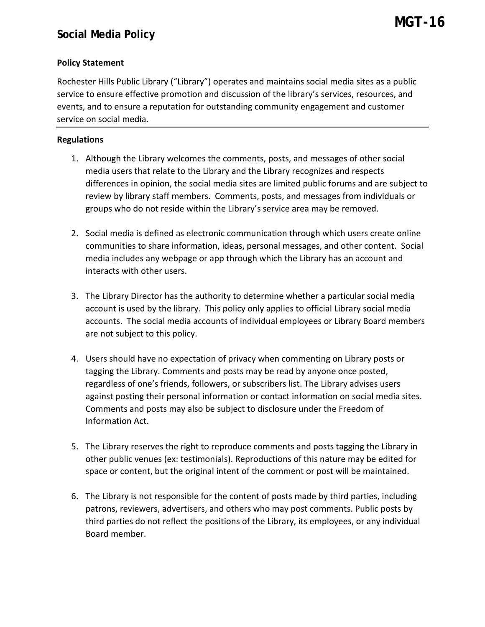## **Policy Statement**

Rochester Hills Public Library ("Library") operates and maintains social media sites as a public service to ensure effective promotion and discussion of the library's services, resources, and events, and to ensure a reputation for outstanding community engagement and customer service on social media.

## **Regulations**

- 1. Although the Library welcomes the comments, posts, and messages of other social media users that relate to the Library and the Library recognizes and respects differences in opinion, the social media sites are limited public forums and are subject to review by library staff members. Comments, posts, and messages from individuals or groups who do not reside within the Library's service area may be removed.
- 2. Social media is defined as electronic communication through which users create online communities to share information, ideas, personal messages, and other content. Social media includes any webpage or app through which the Library has an account and interacts with other users.
- 3. The Library Director has the authority to determine whether a particular social media account is used by the library. This policy only applies to official Library social media accounts. The social media accounts of individual employees or Library Board members are not subject to this policy.
- 4. Users should have no expectation of privacy when commenting on Library posts or tagging the Library. Comments and posts may be read by anyone once posted, regardless of one's friends, followers, or subscribers list. The Library advises users against posting their personal information or contact information on social media sites. Comments and posts may also be subject to disclosure under the Freedom of Information Act.
- 5. The Library reserves the right to reproduce comments and posts tagging the Library in other public venues (ex: testimonials). Reproductions of this nature may be edited for space or content, but the original intent of the comment or post will be maintained.
- 6. The Library is not responsible for the content of posts made by third parties, including patrons, reviewers, advertisers, and others who may post comments. Public posts by third parties do not reflect the positions of the Library, its employees, or any individual Board member.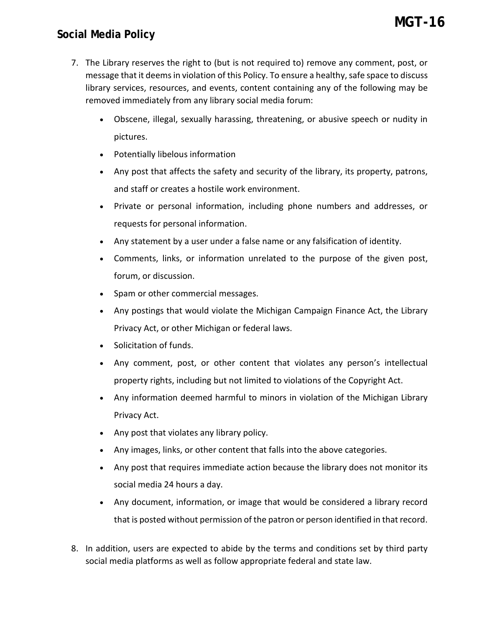## **Social Media Policy**

- 7. The Library reserves the right to (but is not required to) remove any comment, post, or message that it deemsin violation of this Policy. To ensure a healthy, safe space to discuss library services, resources, and events, content containing any of the following may be removed immediately from any library social media forum:
	- Obscene, illegal, sexually harassing, threatening, or abusive speech or nudity in pictures.
	- Potentially libelous information
	- Any post that affects the safety and security of the library, its property, patrons, and staff or creates a hostile work environment.
	- Private or personal information, including phone numbers and addresses, or requests for personal information.
	- Any statement by a user under a false name or any falsification of identity.
	- Comments, links, or information unrelated to the purpose of the given post, forum, or discussion.
	- Spam or other commercial messages.
	- Any postings that would violate the Michigan Campaign Finance Act, the Library Privacy Act, or other Michigan or federal laws.
	- Solicitation of funds.
	- Any comment, post, or other content that violates any person's intellectual property rights, including but not limited to violations of the Copyright Act.
	- Any information deemed harmful to minors in violation of the Michigan Library Privacy Act.
	- Any post that violates any library policy.
	- Any images, links, or other content that falls into the above categories.
	- Any post that requires immediate action because the library does not monitor its social media 24 hours a day.
	- Any document, information, or image that would be considered a library record that is posted without permission of the patron or person identified in that record.
- 8. In addition, users are expected to abide by the terms and conditions set by third party social media platforms as well as follow appropriate federal and state law.